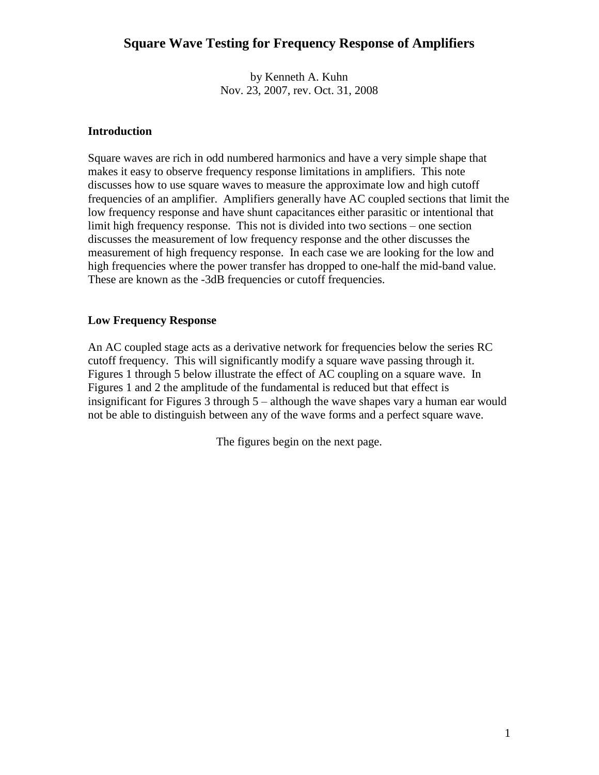by Kenneth A. Kuhn Nov. 23, 2007, rev. Oct. 31, 2008

#### **Introduction**

Square waves are rich in odd numbered harmonics and have a very simple shape that makes it easy to observe frequency response limitations in amplifiers. This note discusses how to use square waves to measure the approximate low and high cutoff frequencies of an amplifier. Amplifiers generally have AC coupled sections that limit the low frequency response and have shunt capacitances either parasitic or intentional that limit high frequency response. This not is divided into two sections – one section discusses the measurement of low frequency response and the other discusses the measurement of high frequency response. In each case we are looking for the low and high frequencies where the power transfer has dropped to one-half the mid-band value. These are known as the -3dB frequencies or cutoff frequencies.

#### **Low Frequency Response**

An AC coupled stage acts as a derivative network for frequencies below the series RC cutoff frequency. This will significantly modify a square wave passing through it. Figures 1 through 5 below illustrate the effect of AC coupling on a square wave. In Figures 1 and 2 the amplitude of the fundamental is reduced but that effect is insignificant for Figures  $3$  through  $5 -$ although the wave shapes vary a human ear would not be able to distinguish between any of the wave forms and a perfect square wave.

The figures begin on the next page.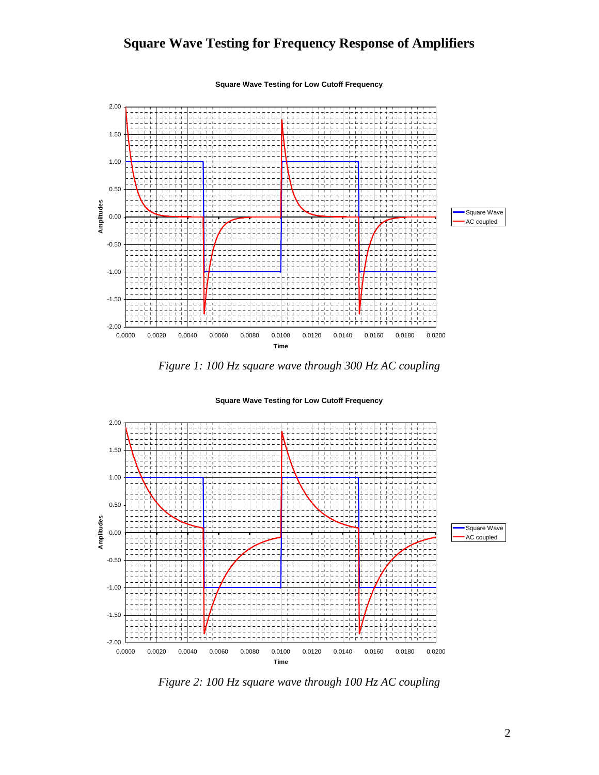**Square Wave Testing for Low Cutoff Frequency**







**Square Wave Testing for Low Cutoff Frequency**

*Figure 2: 100 Hz square wave through 100 Hz AC coupling*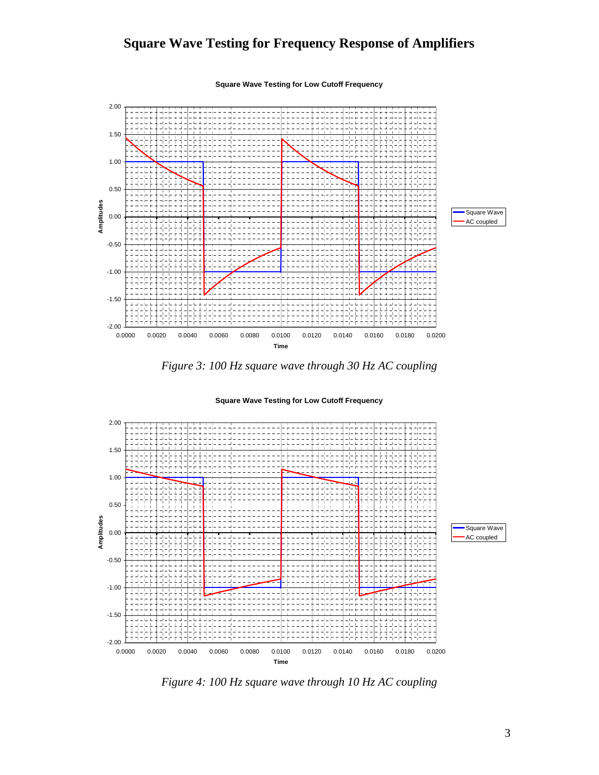**Square Wave Testing for Low Cutoff Frequency**







**Square Wave Testing for Low Cutoff Frequency**

*Figure 4: 100 Hz square wave through 10 Hz AC coupling*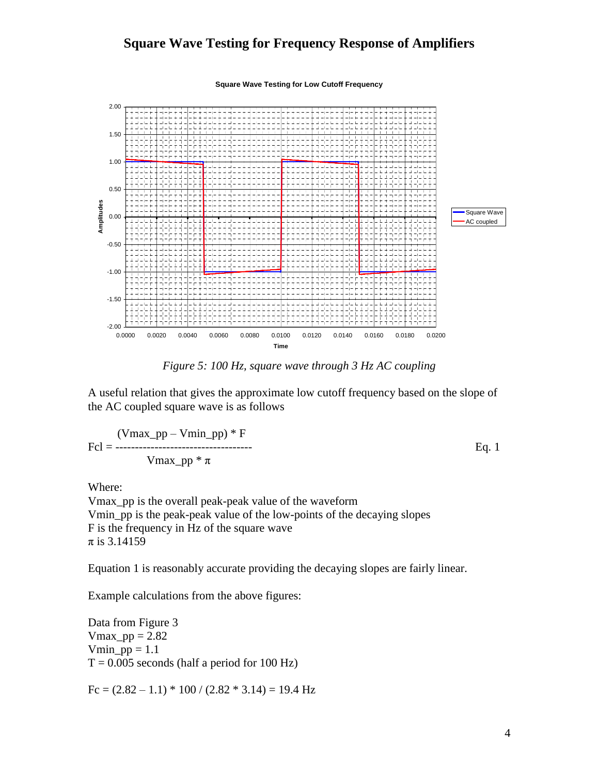**Square Wave Testing for Low Cutoff Frequency**



*Figure 5: 100 Hz, square wave through 3 Hz AC coupling*

A useful relation that gives the approximate low cutoff frequency based on the slope of the AC coupled square wave is as follows

$$
Fcl = \frac{(\text{Vmax\_pp} - \text{Vmin\_pp}) * F}{\text{Vmax\_pp} * \pi}
$$
 Eq. 1

Where:

Vmax\_pp is the overall peak-peak value of the waveform Vmin\_pp is the peak-peak value of the low-points of the decaying slopes F is the frequency in Hz of the square wave  $\pi$  is 3.14159

Equation 1 is reasonably accurate providing the decaying slopes are fairly linear.

Example calculations from the above figures:

Data from Figure 3 Vmax  $pp = 2.82$  $Vmin\_pp = 1.1$  $T = 0.005$  seconds (half a period for 100 Hz)

 $Fc = (2.82 – 1.1) * 100 / (2.82 * 3.14) = 19.4 Hz$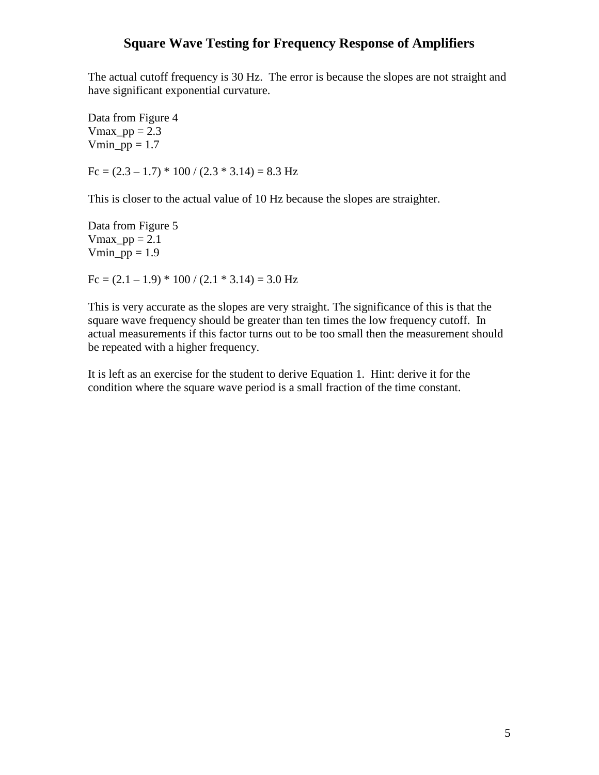The actual cutoff frequency is 30 Hz. The error is because the slopes are not straight and have significant exponential curvature.

Data from Figure 4 Vmax  $pp = 2.3$  $Vmin\_pp = 1.7$ 

 $Fc = (2.3 – 1.7) * 100 / (2.3 * 3.14) = 8.3 Hz$ 

This is closer to the actual value of 10 Hz because the slopes are straighter.

Data from Figure 5 Vmax  $pp = 2.1$  $Vmin\_pp = 1.9$ 

 $Fc = (2.1 - 1.9) * 100 / (2.1 * 3.14) = 3.0 Hz$ 

This is very accurate as the slopes are very straight. The significance of this is that the square wave frequency should be greater than ten times the low frequency cutoff. In actual measurements if this factor turns out to be too small then the measurement should be repeated with a higher frequency.

It is left as an exercise for the student to derive Equation 1. Hint: derive it for the condition where the square wave period is a small fraction of the time constant.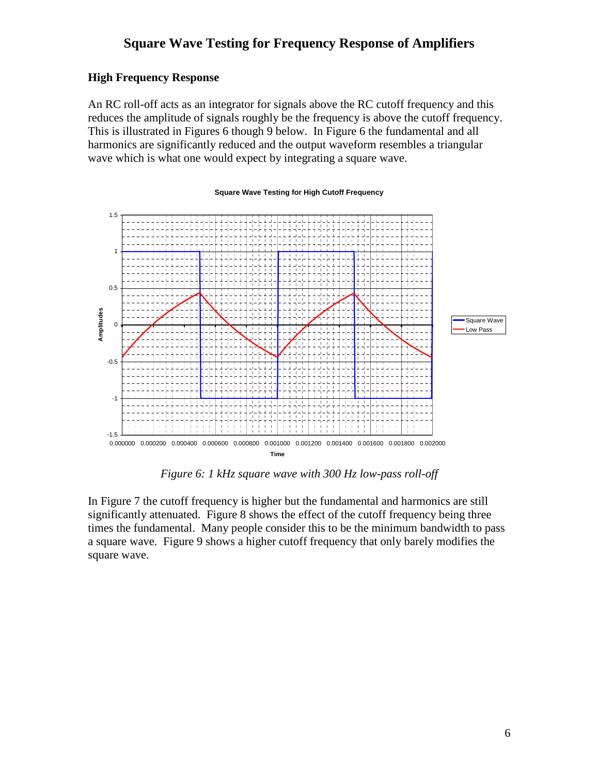#### **High Frequency Response**

An RC roll-off acts as an integrator for signals above the RC cutoff frequency and this reduces the amplitude of signals roughly be the frequency is above the cutoff frequency. This is illustrated in Figures 6 though 9 below. In Figure 6 the fundamental and all harmonics are significantly reduced and the output waveform resembles a triangular wave which is what one would expect by integrating a square wave.

**Square Wave Testing for High Cutoff Frequency**

# -1.5 -1 -0.5 0 0.5 1 1.5 0.000000 0.000200 0.000400 0.000600 0.000800 0.001000 0.001200 0.001400 0.001600 0.001800 0.002000 **Time Amplitudes** Square Wave Low Pass

#### *Figure 6: 1 kHz square wave with 300 Hz low-pass roll-off*

In Figure 7 the cutoff frequency is higher but the fundamental and harmonics are still significantly attenuated. Figure 8 shows the effect of the cutoff frequency being three times the fundamental. Many people consider this to be the minimum bandwidth to pass a square wave. Figure 9 shows a higher cutoff frequency that only barely modifies the square wave.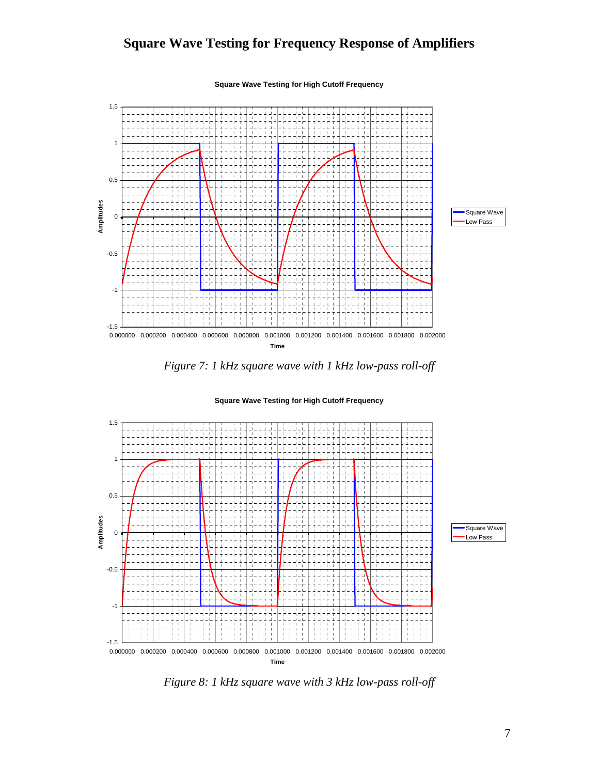**Square Wave Testing for High Cutoff Frequency**







**Square Wave Testing for High Cutoff Frequency**

*Figure 8: 1 kHz square wave with 3 kHz low-pass roll-off*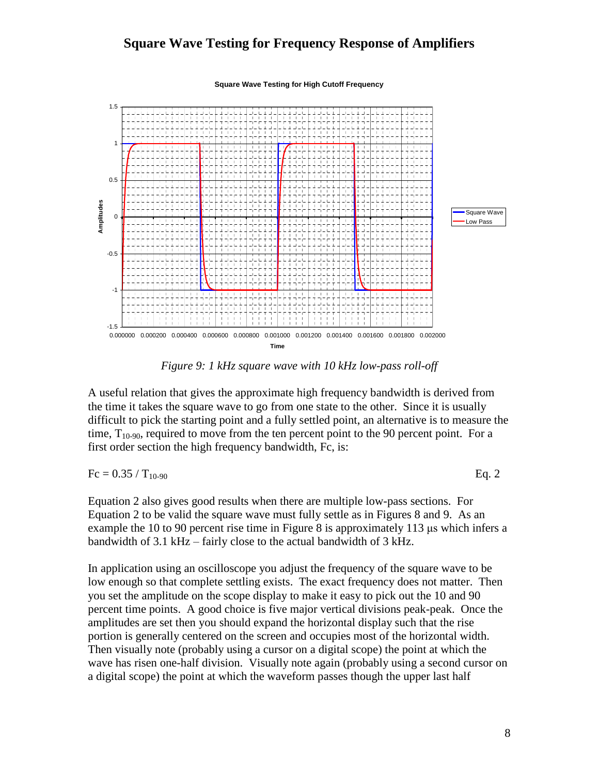**Square Wave Testing for High Cutoff Frequency**



*Figure 9: 1 kHz square wave with 10 kHz low-pass roll-off*

A useful relation that gives the approximate high frequency bandwidth is derived from the time it takes the square wave to go from one state to the other. Since it is usually difficult to pick the starting point and a fully settled point, an alternative is to measure the time,  $T_{10-90}$ , required to move from the ten percent point to the 90 percent point. For a first order section the high frequency bandwidth, Fc, is:

Fc =  $0.35 / T_{10-90}$  Eq. 2

Equation 2 also gives good results when there are multiple low-pass sections. For Equation 2 to be valid the square wave must fully settle as in Figures 8 and 9. As an example the 10 to 90 percent rise time in Figure 8 is approximately 113 μs which infers a bandwidth of  $3.1$  kHz – fairly close to the actual bandwidth of  $3$  kHz.

In application using an oscilloscope you adjust the frequency of the square wave to be low enough so that complete settling exists. The exact frequency does not matter. Then you set the amplitude on the scope display to make it easy to pick out the 10 and 90 percent time points. A good choice is five major vertical divisions peak-peak. Once the amplitudes are set then you should expand the horizontal display such that the rise portion is generally centered on the screen and occupies most of the horizontal width. Then visually note (probably using a cursor on a digital scope) the point at which the wave has risen one-half division. Visually note again (probably using a second cursor on a digital scope) the point at which the waveform passes though the upper last half